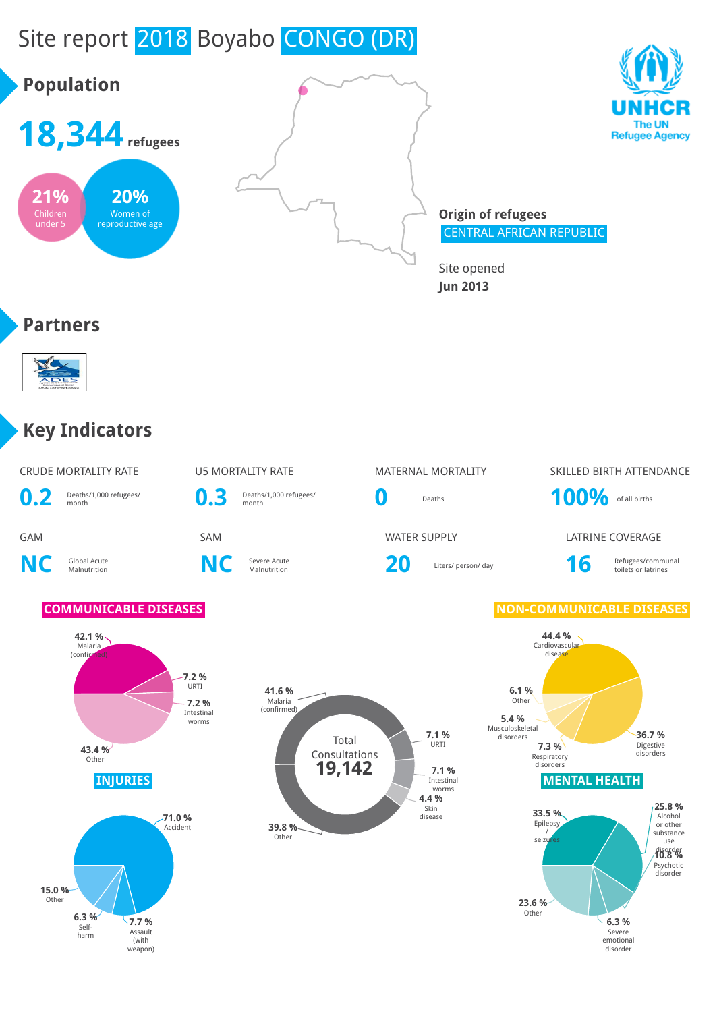# Site report 2018 Boyabo CONGO (DR)







**Origin of refugees** CENTRAL AFRICAN REPUBLIC

Site opened **Jun 2013**

#### **Partners**



## **Key Indicators**

|     | <b>CRUDE MORTALITY RATE</b> |  |
|-----|-----------------------------|--|
| n 9 | Deaths/1 000 refugees/      |  |

 $\mathbf{U}$ . $\mathbf{Z}$  **Deaths** 

**NC** Global Acute

**0.3** Deaths/1,000 refugees/

**NC** Severe Acute

Severe Acute **20** Liters/ person/ day **16** Refugees/communal Refugees/communal Refugees/communal

### U5 MORTALITY RATE **MATERNAL MORTALITY** SKILLED BIRTH ATTENDANCE **0** Deaths **100%** of all births

**GAM** SAM SAM SAM WATER SUPPLY LATRINE COVERAGE

toilets or latrines

#### **COMMUNICABLE DISEASES NON-COMMUNICABLE DISEASES**





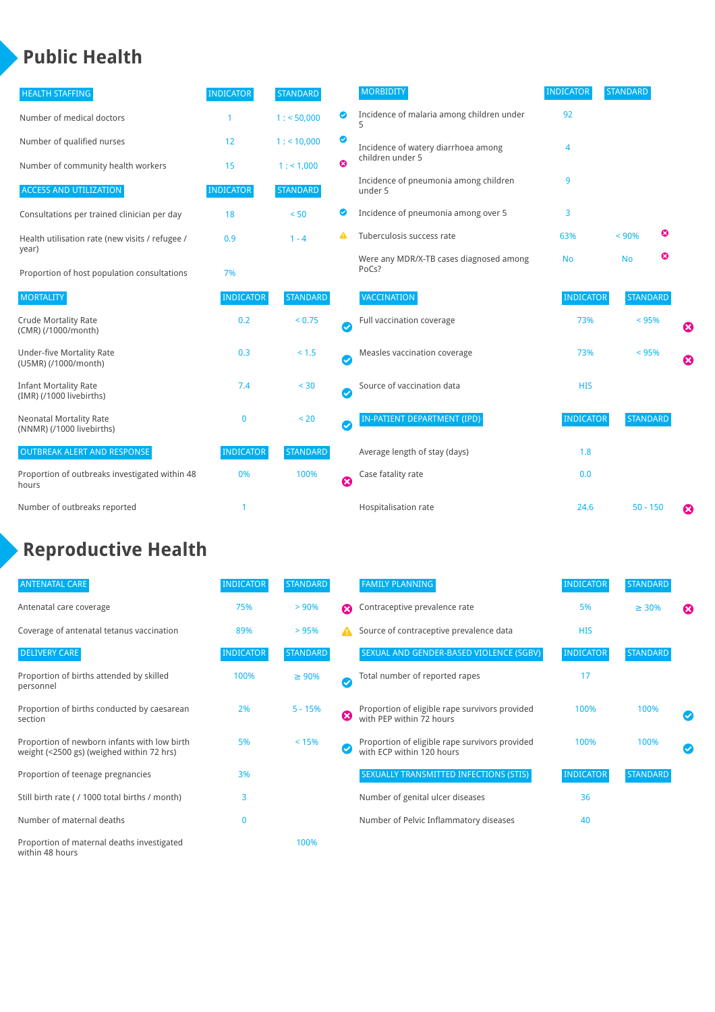## **Public Health**

| <b>HEALTH STAFFING</b>                                      | <b>INDICATOR</b> | <b>STANDARD</b> |                       | <b>MORBIDITY</b>                                 | <b>INDICATOR</b> | <b>STANDARD</b> |   |                       |
|-------------------------------------------------------------|------------------|-----------------|-----------------------|--------------------------------------------------|------------------|-----------------|---|-----------------------|
| Number of medical doctors                                   | 1                | 1: 50,000       | ◎                     | Incidence of malaria among children under        | 92               |                 |   |                       |
| Number of qualified nurses                                  | 12               | 1:10,000        | ◙                     | Incidence of watery diarrhoea among              | 4                |                 |   |                       |
| Number of community health workers                          | 15               | 1: 1,000        | ೞ                     | children under 5                                 |                  |                 |   |                       |
| <b>ACCESS AND UTILIZATION</b>                               | <b>INDICATOR</b> | <b>STANDARD</b> |                       | Incidence of pneumonia among children<br>under 5 | 9                |                 |   |                       |
| Consultations per trained clinician per day                 | 18               | < 50            | ◙                     | Incidence of pneumonia among over 5              | 3                |                 |   |                       |
| Health utilisation rate (new visits / refugee /<br>year)    | 0.9              | $1 - 4$         |                       | Tuberculosis success rate                        | 63%              | < 90%           | ఴ |                       |
| Proportion of host population consultations                 | 7%               |                 |                       | Were any MDR/X-TB cases diagnosed among<br>PoCs? | <b>No</b>        | <b>No</b>       | ☺ |                       |
| <b>MORTALITY</b>                                            | <b>INDICATOR</b> | <b>STANDARD</b> |                       | VACCINATION                                      | <b>INDICATOR</b> | <b>STANDARD</b> |   |                       |
| <b>Crude Mortality Rate</b><br>(CMR) (/1000/month)          | 0.2              | < 0.75          | $\bullet$             | Full vaccination coverage                        | 73%              | $< 95\%$        |   | ☺                     |
| <b>Under-five Mortality Rate</b><br>(U5MR) (/1000/month)    | 0.3              | < 1.5           | $\bullet$             | Measles vaccination coverage                     | 73%              | $< 95\%$        |   | $\boldsymbol{\Omega}$ |
| <b>Infant Mortality Rate</b><br>(IMR) (/1000 livebirths)    | 7.4              | < 30            | $\bullet$             | Source of vaccination data                       | <b>HIS</b>       |                 |   |                       |
| <b>Neonatal Mortality Rate</b><br>(NNMR) (/1000 livebirths) | $\bf{0}$         | < 20            | $\bullet$             | <b>IN-PATIENT DEPARTMENT (IPD)</b>               | <b>INDICATOR</b> | <b>STANDARD</b> |   |                       |
| <b>OUTBREAK ALERT AND RESPONSE</b>                          | <b>INDICATOR</b> | <b>STANDARD</b> |                       | Average length of stay (days)                    | 1.8              |                 |   |                       |
| Proportion of outbreaks investigated within 48<br>hours     | 0%               | 100%            | $\boldsymbol{\Omega}$ | Case fatality rate                               | 0.0              |                 |   |                       |
| Number of outbreaks reported                                |                  |                 |                       | Hospitalisation rate                             | 24.6             | $50 - 150$      |   | ೞ                     |

# **Reproductive Health**

| <b>ANTENATAL CARE</b>                                                                     | <b>INDICATOR</b> | <b>STANDARD</b> |                       | <b>FAMILY PLANNING</b>                                                      | <b>INDICATOR</b> | <b>STANDARD</b> |                       |
|-------------------------------------------------------------------------------------------|------------------|-----------------|-----------------------|-----------------------------------------------------------------------------|------------------|-----------------|-----------------------|
| Antenatal care coverage                                                                   | 75%              | > 90%           | Ω                     | Contraceptive prevalence rate                                               | 5%               | $\geq 30\%$     | $\boldsymbol{\omega}$ |
| Coverage of antenatal tetanus vaccination                                                 | 89%              | >95%            | А                     | Source of contraceptive prevalence data                                     | <b>HIS</b>       |                 |                       |
| <b>DELIVERY CARE</b>                                                                      | <b>INDICATOR</b> | <b>STANDARD</b> |                       | SEXUAL AND GENDER-BASED VIOLENCE (SGBV)                                     | <b>INDICATOR</b> | <b>STANDARD</b> |                       |
| Proportion of births attended by skilled<br>personnel                                     | 100%             | $\geq 90\%$     | $\checkmark$          | Total number of reported rapes                                              | 17               |                 |                       |
| Proportion of births conducted by caesarean<br>section                                    | 2%               | $5 - 15%$       | $\boldsymbol{\Omega}$ | Proportion of eligible rape survivors provided<br>with PEP within 72 hours  | 100%             | 100%            |                       |
| Proportion of newborn infants with low birth<br>weight (<2500 gs) (weighed within 72 hrs) | 5%               | < 15%           |                       | Proportion of eligible rape survivors provided<br>with ECP within 120 hours | 100%             | 100%            |                       |
| Proportion of teenage pregnancies                                                         | 3%               |                 |                       | SEXUALLY TRANSMITTED INFECTIONS (STIS)                                      | <b>INDICATOR</b> | <b>STANDARD</b> |                       |
| Still birth rate (/ 1000 total births / month)                                            | 3                |                 |                       | Number of genital ulcer diseases                                            | 36               |                 |                       |
| Number of maternal deaths                                                                 | $\mathbf{0}$     |                 |                       | Number of Pelvic Inflammatory diseases                                      | 40               |                 |                       |
| Proportion of maternal deaths investigated<br>within 48 hours                             |                  | 100%            |                       |                                                                             |                  |                 |                       |